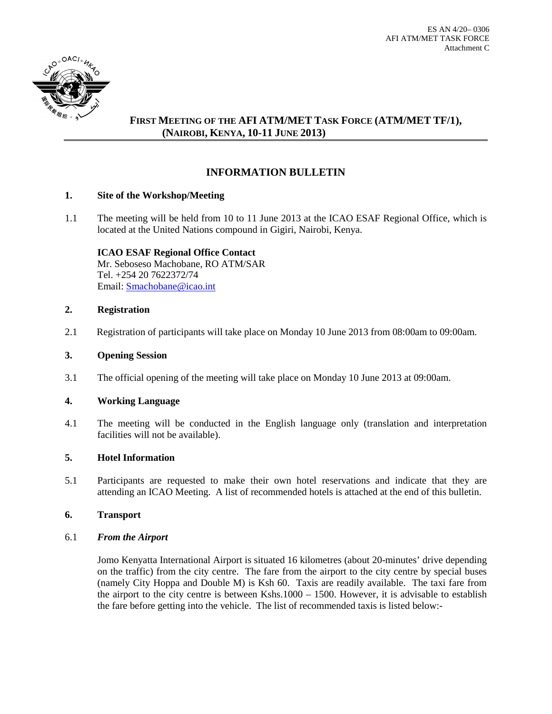

# **FIRST MEETING OF THE AFI ATM/MET TASK FORCE (ATM/MET TF/1), (NAIROBI, KENYA, 10-11 JUNE 2013)**

# **INFORMATION BULLETIN**

## **1. Site of the Workshop/Meeting**

1.1 The meeting will be held from 10 to 11 June 2013 at the ICAO ESAF Regional Office, which is located at the United Nations compound in Gigiri, Nairobi, Kenya.

**ICAO ESAF Regional Office Contact** Mr. Seboseso Machobane, RO ATM/SAR Tel. +254 20 7622372/74 Email: **Smachobane@icao.int** 

## **2. Registration**

2.1 Registration of participants will take place on Monday 10 June 2013 from 08:00am to 09:00am.

## **3. Opening Session**

3.1 The official opening of the meeting will take place on Monday 10 June 2013 at 09:00am.

## **4. Working Language**

4.1 The meeting will be conducted in the English language only (translation and interpretation facilities will not be available).

## **5. Hotel Information**

5.1 Participants are requested to make their own hotel reservations and indicate that they are attending an ICAO Meeting. A list of recommended hotels is attached at the end of this bulletin.

## **6. Transport**

## 6.1 *From the Airport*

Jomo Kenyatta International Airport is situated 16 kilometres (about 20-minutes' drive depending on the traffic) from the city centre. The fare from the airport to the city centre by special buses (namely City Hoppa and Double M) is Ksh 60. Taxis are readily available. The taxi fare from the airport to the city centre is between Kshs.1000 – 1500. However, it is advisable to establish the fare before getting into the vehicle. The list of recommended taxis is listed below:-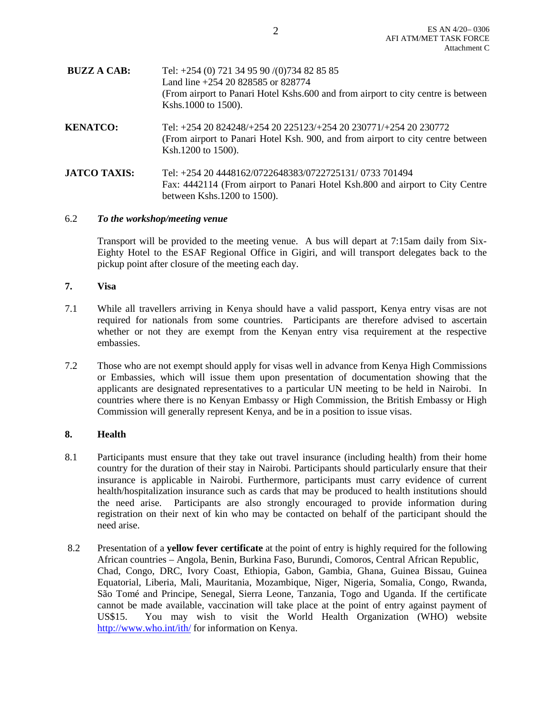| <b>BUZZ A CAB:</b>  | Tel: $+254$ (0) 721 34 95 90 /(0) 734 82 85 85<br>Land line +254 20 828585 or 828774<br>(From airport to Panari Hotel Kshs.600 and from airport to city centre is between<br>Kshs.1000 to 1500). |
|---------------------|--------------------------------------------------------------------------------------------------------------------------------------------------------------------------------------------------|
| <b>KENATCO:</b>     | Tel: +254 20 824248/+254 20 225123/+254 20 230771/+254 20 230772<br>(From airport to Panari Hotel Ksh. 900, and from airport to city centre between<br>Ksh.1200 to 1500).                        |
| <b>JATCO TAXIS:</b> | Tel: +254 20 4448162/0722648383/0722725131/0733 701494<br>Fax: 4442114 (From airport to Panari Hotel Ksh.800 and airport to City Centre<br>between Kshs.1200 to 1500).                           |

## 6.2 *To the workshop/meeting venue*

Transport will be provided to the meeting venue. A bus will depart at 7:15am daily from Six-Eighty Hotel to the ESAF Regional Office in Gigiri, and will transport delegates back to the pickup point after closure of the meeting each day.

#### **7. Visa**

- 7.1 While all travellers arriving in Kenya should have a valid passport, Kenya entry visas are not required for nationals from some countries. Participants are therefore advised to ascertain whether or not they are exempt from the Kenyan entry visa requirement at the respective embassies.
- 7.2 Those who are not exempt should apply for visas well in advance from Kenya High Commissions or Embassies, which will issue them upon presentation of documentation showing that the applicants are designated representatives to a particular UN meeting to be held in Nairobi. In countries where there is no Kenyan Embassy or High Commission, the British Embassy or High Commission will generally represent Kenya, and be in a position to issue visas.

## **8. Health**

- 8.1 Participants must ensure that they take out travel insurance (including health) from their home country for the duration of their stay in Nairobi. Participants should particularly ensure that their insurance is applicable in Nairobi. Furthermore, participants must carry evidence of current health/hospitalization insurance such as cards that may be produced to health institutions should the need arise. Participants are also strongly encouraged to provide information during registration on their next of kin who may be contacted on behalf of the participant should the need arise.
- 8.2 Presentation of a **yellow fever certificate** at the point of entry is highly required for the following African countries – Angola, Benin, Burkina Faso, Burundi, Comoros, Central African Republic, Chad, Congo, DRC, Ivory Coast, Ethiopia, Gabon, Gambia, Ghana, Guinea Bissau, Guinea Equatorial, Liberia, Mali, Mauritania, Mozambique, Niger, Nigeria, Somalia, Congo, Rwanda, São Tomé and Principe, Senegal, Sierra Leone, Tanzania, Togo and Uganda. If the certificate cannot be made available, vaccination will take place at the point of entry against payment of US\$15. You may wish to visit the World Health Organization (WHO) website <http://www.who.int/ith/> for information on Kenya.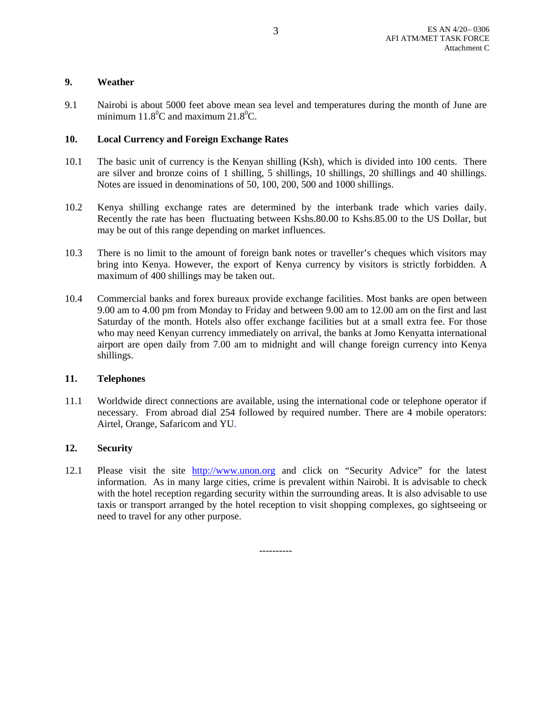## **9. Weather**

9.1 Nairobi is about 5000 feet above mean sea level and temperatures during the month of June are minimum  $11.8^{\circ}$ C and maximum  $21.8^{\circ}$ C.

## **10. Local Currency and Foreign Exchange Rates**

- 10.1 The basic unit of currency is the Kenyan shilling (Ksh), which is divided into 100 cents. There are silver and bronze coins of 1 shilling, 5 shillings, 10 shillings, 20 shillings and 40 shillings. Notes are issued in denominations of 50, 100, 200, 500 and 1000 shillings.
- 10.2 Kenya shilling exchange rates are determined by the interbank trade which varies daily. Recently the rate has been fluctuating between Kshs.80.00 to Kshs.85.00 to the US Dollar, but may be out of this range depending on market influences.
- 10.3 There is no limit to the amount of foreign bank notes or traveller's cheques which visitors may bring into Kenya. However, the export of Kenya currency by visitors is strictly forbidden. A maximum of 400 shillings may be taken out.
- 10.4 Commercial banks and forex bureaux provide exchange facilities. Most banks are open between 9.00 am to 4.00 pm from Monday to Friday and between 9.00 am to 12.00 am on the first and last Saturday of the month. Hotels also offer exchange facilities but at a small extra fee. For those who may need Kenyan currency immediately on arrival, the banks at Jomo Kenyatta international airport are open daily from 7.00 am to midnight and will change foreign currency into Kenya shillings.

## **11. Telephones**

11.1 Worldwide direct connections are available, using the international code or telephone operator if necessary. From abroad dial 254 followed by required number. There are 4 mobile operators: Airtel, Orange, Safaricom and YU.

## **12. Security**

12.1 Please visit the site [http://www.unon.org](http://www.unon.org/) and click on "Security Advice" for the latest information. As in many large cities, crime is prevalent within Nairobi. It is advisable to check with the hotel reception regarding security within the surrounding areas. It is also advisable to use taxis or transport arranged by the hotel reception to visit shopping complexes, go sightseeing or need to travel for any other purpose.

----------